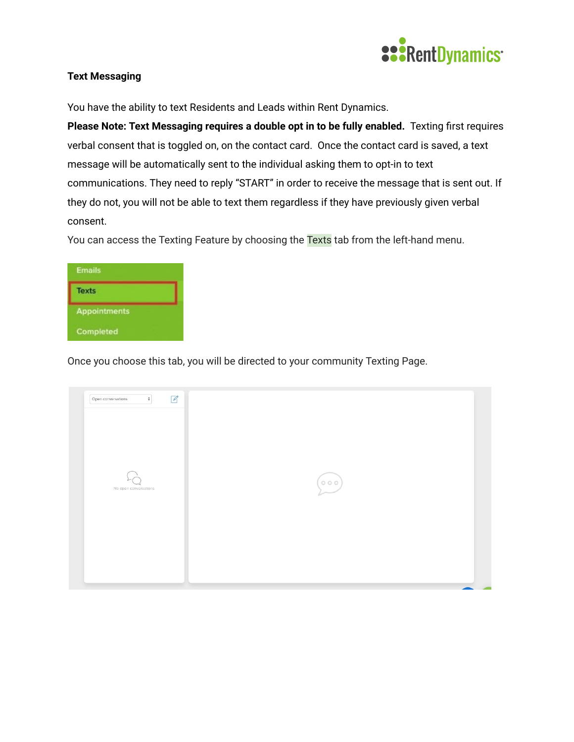

## **Text Messaging**

You have the ability to text Residents and Leads within Rent Dynamics.

**Please Note: Text Messaging requires a double opt in to be fully enabled.** Texting first requires verbal consent that is toggled on, on the contact card. Once the contact card is saved, a text message will be automatically sent to the individual asking them to opt-in to text communications. They need to reply "START" in order to receive the message that is sent out. If they do not, you will not be able to text them regardless if they have previously given verbal consent.

You can access the Texting Feature by choosing the Texts tab from the left-hand menu.



Once you choose this tab, you will be directed to your community Texting Page.

| $\mathbb Z$<br>$\hat{\div}$<br>Open conversations |                                                                                |  |
|---------------------------------------------------|--------------------------------------------------------------------------------|--|
| No open conversations                             | $\left(\begin{matrix} 0 & 0 & 0 \\ 0 & 0 & 0 \\ 0 & 0 & 0 \end{matrix}\right)$ |  |
|                                                   |                                                                                |  |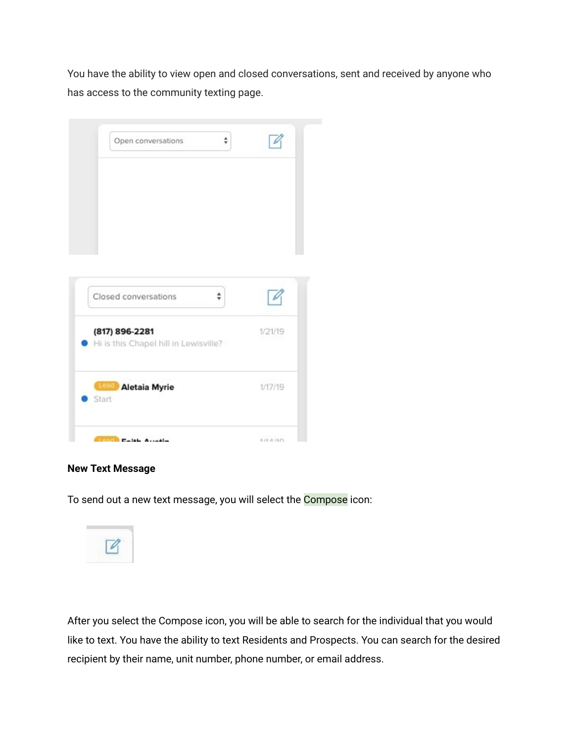You have the ability to view open and closed conversations, sent and received by anyone who has access to the community texting page.

| $\frac{4}{7}$<br>Open conversations                     |         |
|---------------------------------------------------------|---------|
|                                                         |         |
| Closed conversations<br>▲<br>v                          |         |
| (817) 896-2281<br>Hi is this Chapel hill in Lewisville? | 1/21/19 |
| <b>Lead Aletaia Myrie</b><br>Start                      | 1/17/19 |
|                                                         |         |

## **New Text Message**

To send out a new text message, you will select the Compose icon:



After you select the Compose icon, you will be able to search for the individual that you would like to text. You have the ability to text Residents and Prospects. You can search for the desired recipient by their name, unit number, phone number, or email address.